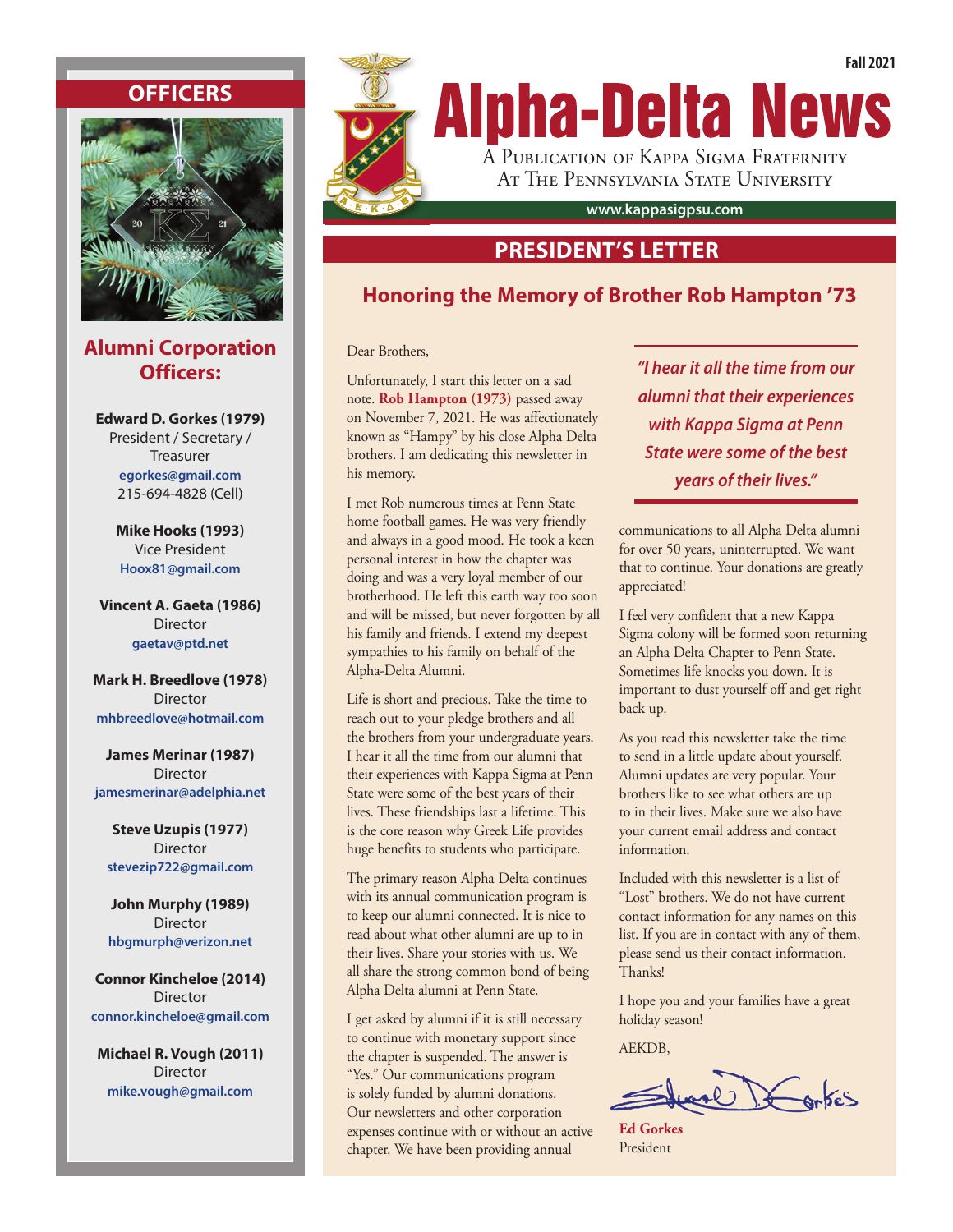## **NOFFICERS**



### **Alumni Corporation Officers:**

**Edward D. Gorkes (1979)** President / Secretary / Treasurer **egorkes@gmail.com** 215-694-4828 (Cell)

> **Mike Hooks (1993)** Vice President **Hoox81@gmail.com**

**Vincent A. Gaeta (1986)** Director **gaetav@ptd.net**

**Mark H. Breedlove (1978)** Director **mhbreedlove@hotmail.com** 

**James Merinar (1987)** Director **jamesmerinar@adelphia.net**

**Steve Uzupis (1977)** Director **stevezip722@gmail.com**

**John Murphy (1989)** Director **hbgmurph@verizon.net**

**Connor Kincheloe (2014)** Director **connor.kincheloe@gmail.com**

**Michael R. Vough (2011) Director mike.vough@gmail.com**



### **PRESIDENT'S LETTER**

### **Honoring the Memory of Brother Rob Hampton '73**

Dear Brothers,

Unfortunately, I start this letter on a sad note. **Rob Hampton (1973)** passed away on November 7, 2021. He was affectionately known as "Hampy" by his close Alpha Delta brothers. I am dedicating this newsletter in his memory.

I met Rob numerous times at Penn State home football games. He was very friendly and always in a good mood. He took a keen personal interest in how the chapter was doing and was a very loyal member of our brotherhood. He left this earth way too soon and will be missed, but never forgotten by all his family and friends. I extend my deepest sympathies to his family on behalf of the Alpha-Delta Alumni.

Life is short and precious. Take the time to reach out to your pledge brothers and all the brothers from your undergraduate years. I hear it all the time from our alumni that their experiences with Kappa Sigma at Penn State were some of the best years of their lives. These friendships last a lifetime. This is the core reason why Greek Life provides huge benefits to students who participate.

The primary reason Alpha Delta continues with its annual communication program is to keep our alumni connected. It is nice to read about what other alumni are up to in their lives. Share your stories with us. We all share the strong common bond of being Alpha Delta alumni at Penn State.

I get asked by alumni if it is still necessary to continue with monetary support since the chapter is suspended. The answer is "Yes." Our communications program is solely funded by alumni donations. Our newsletters and other corporation expenses continue with or without an active chapter. We have been providing annual

*"I hear it all the time from our alumni that their experiences with Kappa Sigma at Penn State were some of the best years of their lives."*

communications to all Alpha Delta alumni for over 50 years, uninterrupted. We want that to continue. Your donations are greatly appreciated!

I feel very confident that a new Kappa Sigma colony will be formed soon returning an Alpha Delta Chapter to Penn State. Sometimes life knocks you down. It is important to dust yourself off and get right back up.

As you read this newsletter take the time to send in a little update about yourself. Alumni updates are very popular. Your brothers like to see what others are up to in their lives. Make sure we also have your current email address and contact information.

Included with this newsletter is a list of "Lost" brothers. We do not have current contact information for any names on this list. If you are in contact with any of them, please send us their contact information. Thanks!

I hope you and your families have a great holiday season!

AEKDB,

**Ed Gorkes** President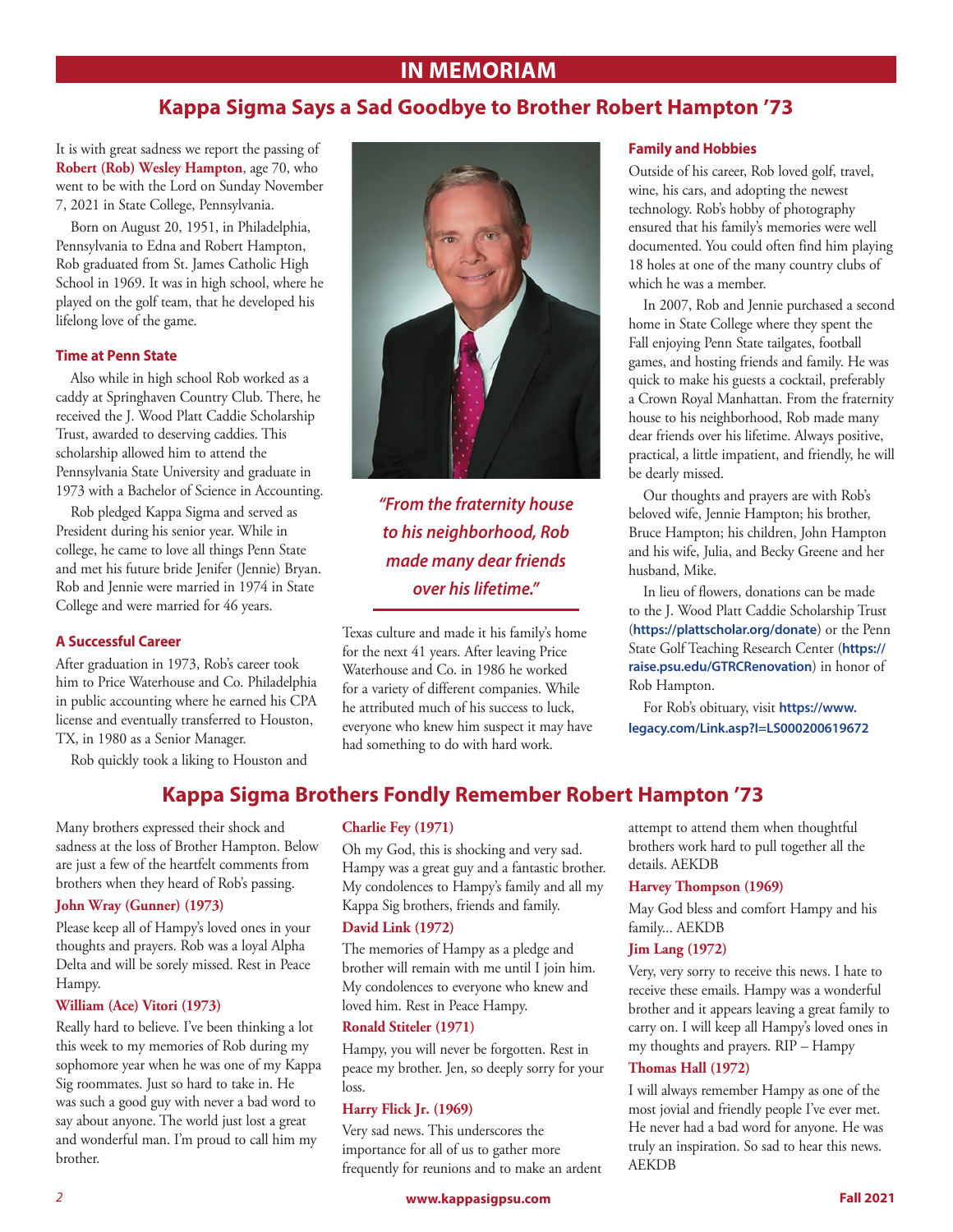## **IN MEMORIAM**

### **Kappa Sigma Says a Sad Goodbye to Brother Robert Hampton '73**

It is with great sadness we report the passing of **Robert (Rob) Wesley Hampton**, age 70, who went to be with the Lord on Sunday November 7, 2021 in State College, Pennsylvania.

Born on August 20, 1951, in Philadelphia, Pennsylvania to Edna and Robert Hampton, Rob graduated from St. James Catholic High School in 1969. It was in high school, where he played on the golf team, that he developed his lifelong love of the game.

#### **Time at Penn State**

Also while in high school Rob worked as a caddy at Springhaven Country Club. There, he received the J. Wood Platt Caddie Scholarship Trust, awarded to deserving caddies. This scholarship allowed him to attend the Pennsylvania State University and graduate in 1973 with a Bachelor of Science in Accounting.

Rob pledged Kappa Sigma and served as President during his senior year. While in college, he came to love all things Penn State and met his future bride Jenifer (Jennie) Bryan. Rob and Jennie were married in 1974 in State College and were married for 46 years.

#### **A Successful Career**

After graduation in 1973, Rob's career took him to Price Waterhouse and Co. Philadelphia in public accounting where he earned his CPA license and eventually transferred to Houston, TX, in 1980 as a Senior Manager.

Rob quickly took a liking to Houston and



*"From the fraternity house to his neighborhood, Rob made many dear friends over his lifetime."*

Texas culture and made it his family's home for the next 41 years. After leaving Price Waterhouse and Co. in 1986 he worked for a variety of different companies. While he attributed much of his success to luck, everyone who knew him suspect it may have had something to do with hard work.

### **Family and Hobbies**

Outside of his career, Rob loved golf, travel, wine, his cars, and adopting the newest technology. Rob's hobby of photography ensured that his family's memories were well documented. You could often find him playing 18 holes at one of the many country clubs of which he was a member.

In 2007, Rob and Jennie purchased a second home in State College where they spent the Fall enjoying Penn State tailgates, football games, and hosting friends and family. He was quick to make his guests a cocktail, preferably a Crown Royal Manhattan. From the fraternity house to his neighborhood, Rob made many dear friends over his lifetime. Always positive, practical, a little impatient, and friendly, he will be dearly missed.

Our thoughts and prayers are with Rob's beloved wife, Jennie Hampton; his brother, Bruce Hampton; his children, John Hampton and his wife, Julia, and Becky Greene and her husband, Mike.

In lieu of flowers, donations can be made to the J. Wood Platt Caddie Scholarship Trust (**https://plattscholar.org/donate**) or the Penn State Golf Teaching Research Center (**https:// raise.psu.edu/GTRCRenovation**) in honor of Rob Hampton.

For Rob's obituary, visit **https://www. legacy.com/Link.asp?I=LS000200619672**

### **Kappa Sigma Brothers Fondly Remember Robert Hampton '73**

Many brothers expressed their shock and sadness at the loss of Brother Hampton. Below are just a few of the heartfelt comments from brothers when they heard of Rob's passing.

#### **John Wray (Gunner) (1973)**

Please keep all of Hampy's loved ones in your thoughts and prayers. Rob was a loyal Alpha Delta and will be sorely missed. Rest in Peace Hampy.

#### **William (Ace) Vitori (1973)**

Really hard to believe. I've been thinking a lot this week to my memories of Rob during my sophomore year when he was one of my Kappa Sig roommates. Just so hard to take in. He was such a good guy with never a bad word to say about anyone. The world just lost a great and wonderful man. I'm proud to call him my brother.

#### **Charlie Fey (1971)**

Oh my God, this is shocking and very sad. Hampy was a great guy and a fantastic brother. My condolences to Hampy's family and all my Kappa Sig brothers, friends and family.

#### **David Link (1972)**

The memories of Hampy as a pledge and brother will remain with me until I join him. My condolences to everyone who knew and loved him. Rest in Peace Hampy.

#### **Ronald Stiteler (1971)**

Hampy, you will never be forgotten. Rest in peace my brother. Jen, so deeply sorry for your loss.

#### **Harry Flick Jr. (1969)**

Very sad news. This underscores the importance for all of us to gather more frequently for reunions and to make an ardent attempt to attend them when thoughtful brothers work hard to pull together all the details. AEKDB

#### **Harvey Thompson (1969)**

May God bless and comfort Hampy and his family... AEKDB

#### **Jim Lang (1972)**

Very, very sorry to receive this news. I hate to receive these emails. Hampy was a wonderful brother and it appears leaving a great family to carry on. I will keep all Hampy's loved ones in my thoughts and prayers. RIP – Hampy

#### **Thomas Hall (1972)**

I will always remember Hampy as one of the most jovial and friendly people I've ever met. He never had a bad word for anyone. He was truly an inspiration. So sad to hear this news. AEKDB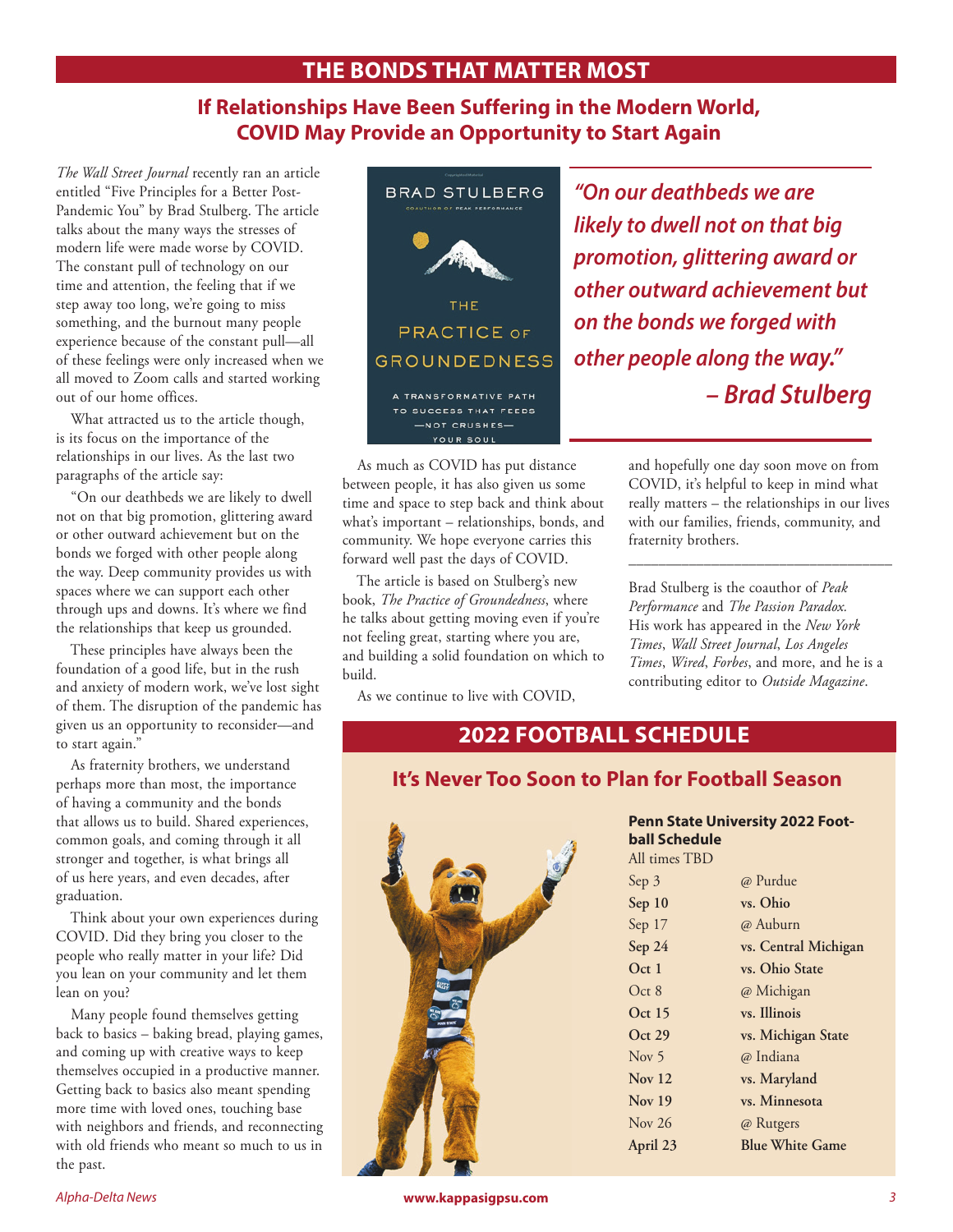### **THE BONDS THAT MATTER MOST**

### **If Relationships Have Been Suffering in the Modern World, COVID May Provide an Opportunity to Start Again**

*The Wall Street Journal* recently ran an article entitled "Five Principles for a Better Post-Pandemic You" by Brad Stulberg. The article talks about the many ways the stresses of modern life were made worse by COVID. The constant pull of technology on our time and attention, the feeling that if we step away too long, we're going to miss something, and the burnout many people experience because of the constant pull—all of these feelings were only increased when we all moved to Zoom calls and started working out of our home offices.

 What attracted us to the article though, is its focus on the importance of the relationships in our lives. As the last two paragraphs of the article say:

 "On our deathbeds we are likely to dwell not on that big promotion, glittering award or other outward achievement but on the bonds we forged with other people along the way. Deep community provides us with spaces where we can support each other through ups and downs. It's where we find the relationships that keep us grounded.

 These principles have always been the foundation of a good life, but in the rush and anxiety of modern work, we've lost sight of them. The disruption of the pandemic has given us an opportunity to reconsider—and to start again.'

 As fraternity brothers, we understand perhaps more than most, the importance of having a community and the bonds that allows us to build. Shared experiences, common goals, and coming through it all stronger and together, is what brings all of us here years, and even decades, after graduation.

 Think about your own experiences during COVID. Did they bring you closer to the people who really matter in your life? Did you lean on your community and let them lean on you?

 Many people found themselves getting back to basics – baking bread, playing games, and coming up with creative ways to keep themselves occupied in a productive manner. Getting back to basics also meant spending more time with loved ones, touching base with neighbors and friends, and reconnecting with old friends who meant so much to us in the past.



*"On our deathbeds we are likely to dwell not on that big promotion, glittering award or other outward achievement but on the bonds we forged with other people along the way." – Brad Stulberg*

 As much as COVID has put distance between people, it has also given us some time and space to step back and think about what's important – relationships, bonds, and community. We hope everyone carries this forward well past the days of COVID.

 The article is based on Stulberg's new book, *The Practice of Groundedness*, where he talks about getting moving even if you're not feeling great, starting where you are, and building a solid foundation on which to build.

As we continue to live with COVID,

and hopefully one day soon move on from COVID, it's helpful to keep in mind what really matters – the relationships in our lives with our families, friends, community, and fraternity brothers.

\_\_\_\_\_\_\_\_\_\_\_\_\_\_\_\_\_\_\_\_\_\_\_\_\_\_\_\_\_\_\_\_\_\_\_

Brad Stulberg is the coauthor of *Peak Performance* and *The Passion Paradox.*  His work has appeared in the *New York Times*, *Wall Street Journal*, *Los Angeles Times*, *Wired*, *Forbes*, and more, and he is a contributing editor to *Outside Magazine*.

# **2022 FOOTBALL SCHEDULE**

### **It's Never Too Soon to Plan for Football Season**



**Penn State University 2022 Football Schedule** All times TBD

| Sep 3            | @ Purdue               |
|------------------|------------------------|
| Sep 10           | vs. Ohio               |
| Sep 17           | @ Auburn               |
| Sep 24           | vs. Central Michigan   |
| Oct 1            | vs. Ohio State         |
| Oct 8            | @ Michigan             |
| Oct 15           | vs. Illinois           |
| Oct 29           | vs. Michigan State     |
| Nov <sub>5</sub> | @ Indiana              |
| Nov $12$         | vs. Maryland           |
| <b>Nov 19</b>    | vs. Minnesota          |
| <b>Nov 26</b>    | @ Rutgers              |
| April 23         | <b>Blue White Game</b> |
|                  |                        |